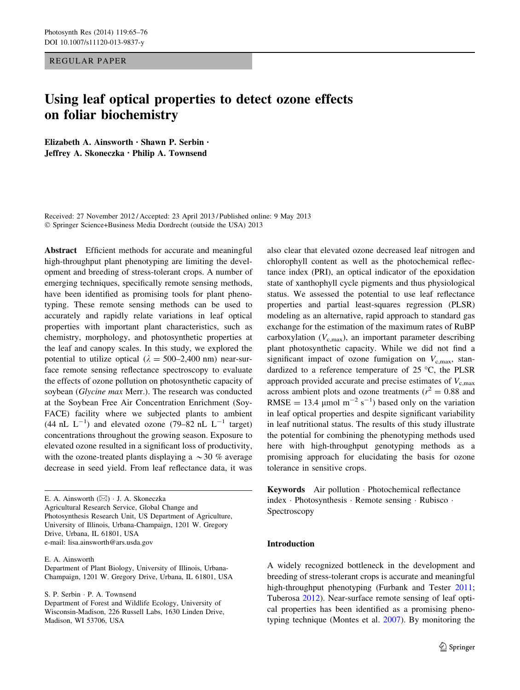REGULAR PAPER

# Using leaf optical properties to detect ozone effects on foliar biochemistry

Elizabeth A. Ainsworth • Shawn P. Serbin • Jeffrey A. Skoneczka • Philip A. Townsend

Received: 27 November 2012 / Accepted: 23 April 2013 / Published online: 9 May 2013 © Springer Science+Business Media Dordrecht (outside the USA) 2013

Abstract Efficient methods for accurate and meaningful high-throughput plant phenotyping are limiting the development and breeding of stress-tolerant crops. A number of emerging techniques, specifically remote sensing methods, have been identified as promising tools for plant phenotyping. These remote sensing methods can be used to accurately and rapidly relate variations in leaf optical properties with important plant characteristics, such as chemistry, morphology, and photosynthetic properties at the leaf and canopy scales. In this study, we explored the potential to utilize optical ( $\lambda = 500-2,400$  nm) near-surface remote sensing reflectance spectroscopy to evaluate the effects of ozone pollution on photosynthetic capacity of soybean (Glycine max Merr.). The research was conducted at the Soybean Free Air Concentration Enrichment (Soy-FACE) facility where we subjected plants to ambient  $(44 \text{ nL } L^{-1})$  and elevated ozone  $(79-82 \text{ nL } L^{-1}$  target) concentrations throughout the growing season. Exposure to elevated ozone resulted in a significant loss of productivity, with the ozone-treated plants displaying a  $\sim$  30 % average decrease in seed yield. From leaf reflectance data, it was

E. A. Ainsworth  $(\boxtimes) \cdot$  J. A. Skoneczka Agricultural Research Service, Global Change and Photosynthesis Research Unit, US Department of Agriculture, University of Illinois, Urbana-Champaign, 1201 W. Gregory Drive, Urbana, IL 61801, USA e-mail: lisa.ainsworth@ars.usda.gov

E. A. Ainsworth

Department of Plant Biology, University of Illinois, Urbana-Champaign, 1201 W. Gregory Drive, Urbana, IL 61801, USA

S. P. Serbin · P. A. Townsend

Department of Forest and Wildlife Ecology, University of Wisconsin-Madison, 226 Russell Labs, 1630 Linden Drive, Madison, WI 53706, USA

also clear that elevated ozone decreased leaf nitrogen and chlorophyll content as well as the photochemical reflectance index (PRI), an optical indicator of the epoxidation state of xanthophyll cycle pigments and thus physiological status. We assessed the potential to use leaf reflectance properties and partial least-squares regression (PLSR) modeling as an alternative, rapid approach to standard gas exchange for the estimation of the maximum rates of RuBP carboxylation  $(V_{c,max})$ , an important parameter describing plant photosynthetic capacity. While we did not find a significant impact of ozone fumigation on  $V_{\text{c,max}}$ , standardized to a reference temperature of  $25 \degree C$ , the PLSR approach provided accurate and precise estimates of  $V_{\rm c,max}$ across ambient plots and ozone treatments ( $r^2 = 0.88$  and RMSE = 13.4  $\mu$ mol m<sup>-2</sup> s<sup>-1</sup>) based only on the variation in leaf optical properties and despite significant variability in leaf nutritional status. The results of this study illustrate the potential for combining the phenotyping methods used here with high-throughput genotyping methods as a promising approach for elucidating the basis for ozone tolerance in sensitive crops.

Keywords Air pollution · Photochemical reflectance index · Photosynthesis · Remote sensing · Rubisco · Spectroscopy

## Introduction

A widely recognized bottleneck in the development and breeding of stress-tolerant crops is accurate and meaningful high-throughput phenotyping (Furbank and Tester [2011](#page-9-0); Tuberosa [2012\)](#page-10-0). Near-surface remote sensing of leaf optical properties has been identified as a promising phenotyping technique (Montes et al. [2007](#page-10-0)). By monitoring the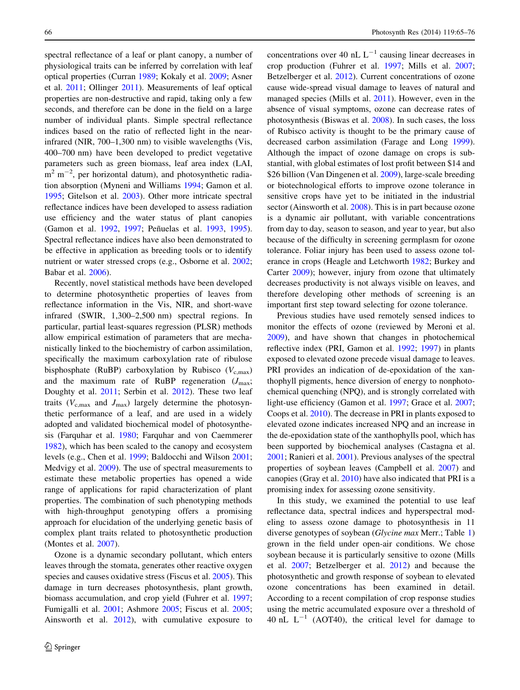spectral reflectance of a leaf or plant canopy, a number of physiological traits can be inferred by correlation with leaf optical properties (Curran [1989](#page-9-0); Kokaly et al. [2009;](#page-10-0) Asner et al. [2011;](#page-9-0) Ollinger [2011](#page-10-0)). Measurements of leaf optical properties are non-destructive and rapid, taking only a few seconds, and therefore can be done in the field on a large number of individual plants. Simple spectral reflectance indices based on the ratio of reflected light in the nearinfrared (NIR, 700–1,300 nm) to visible wavelengths (Vis, 400–700 nm) have been developed to predict vegetative parameters such as green biomass, leaf area index (LAI,  $\text{m}^2$  m<sup>-2</sup>, per horizontal datum), and photosynthetic radiation absorption (Myneni and Williams [1994](#page-10-0); Gamon et al. [1995;](#page-9-0) Gitelson et al. [2003](#page-10-0)). Other more intricate spectral reflectance indices have been developed to assess radiation use efficiency and the water status of plant canopies (Gamon et al. [1992,](#page-9-0) [1997](#page-9-0); Peñuelas et al. [1993](#page-10-0), [1995](#page-10-0)). Spectral reflectance indices have also been demonstrated to be effective in application as breeding tools or to identify nutrient or water stressed crops (e.g., Osborne et al. [2002](#page-10-0); Babar et al. [2006\)](#page-9-0).

Recently, novel statistical methods have been developed to determine photosynthetic properties of leaves from reflectance information in the Vis, NIR, and short-wave infrared (SWIR, 1,300–2,500 nm) spectral regions. In particular, partial least-squares regression (PLSR) methods allow empirical estimation of parameters that are mechanistically linked to the biochemistry of carbon assimilation, specifically the maximum carboxylation rate of ribulose bisphosphate (RuBP) carboxylation by Rubisco ( $V_{c,max}$ ) and the maximum rate of RuBP regeneration  $(J_{\text{max}};$ Doughty et al. [2011](#page-9-0); Serbin et al. [2012](#page-10-0)). These two leaf traits ( $V_{c,\text{max}}$  and  $J_{\text{max}}$ ) largely determine the photosynthetic performance of a leaf, and are used in a widely adopted and validated biochemical model of photosynthesis (Farquhar et al. [1980;](#page-9-0) Farquhar and von Caemmerer [1982\)](#page-9-0), which has been scaled to the canopy and ecosystem levels (e.g., Chen et al. [1999;](#page-9-0) Baldocchi and Wilson [2001](#page-9-0); Medvigy et al. [2009\)](#page-10-0). The use of spectral measurements to estimate these metabolic properties has opened a wide range of applications for rapid characterization of plant properties. The combination of such phenotyping methods with high-throughput genotyping offers a promising approach for elucidation of the underlying genetic basis of complex plant traits related to photosynthetic production (Montes et al. [2007](#page-10-0)).

Ozone is a dynamic secondary pollutant, which enters leaves through the stomata, generates other reactive oxygen species and causes oxidative stress (Fiscus et al. [2005](#page-9-0)). This damage in turn decreases photosynthesis, plant growth, biomass accumulation, and crop yield (Fuhrer et al. [1997](#page-9-0); Fumigalli et al. [2001;](#page-9-0) Ashmore [2005;](#page-9-0) Fiscus et al. [2005](#page-9-0); Ainsworth et al. [2012](#page-9-0)), with cumulative exposure to concentrations over 40 nL  $L^{-1}$  causing linear decreases in crop production (Fuhrer et al. [1997;](#page-9-0) Mills et al. [2007](#page-10-0); Betzelberger et al. [2012](#page-9-0)). Current concentrations of ozone cause wide-spread visual damage to leaves of natural and managed species (Mills et al. [2011](#page-10-0)). However, even in the absence of visual symptoms, ozone can decrease rates of photosynthesis (Biswas et al. [2008](#page-9-0)). In such cases, the loss of Rubisco activity is thought to be the primary cause of decreased carbon assimilation (Farage and Long [1999](#page-9-0)). Although the impact of ozone damage on crops is substantial, with global estimates of lost profit between \$14 and \$26 billion (Van Dingenen et al. [2009\)](#page-11-0), large-scale breeding or biotechnological efforts to improve ozone tolerance in sensitive crops have yet to be initiated in the industrial sector (Ainsworth et al. [2008\)](#page-9-0). This is in part because ozone is a dynamic air pollutant, with variable concentrations from day to day, season to season, and year to year, but also because of the difficulty in screening germplasm for ozone tolerance. Foliar injury has been used to assess ozone tolerance in crops (Heagle and Letchworth [1982;](#page-10-0) Burkey and Carter [2009](#page-9-0)); however, injury from ozone that ultimately decreases productivity is not always visible on leaves, and therefore developing other methods of screening is an important first step toward selecting for ozone tolerance.

Previous studies have used remotely sensed indices to monitor the effects of ozone (reviewed by Meroni et al. [2009](#page-10-0)), and have shown that changes in photochemical reflective index (PRI, Gamon et al. [1992](#page-9-0); [1997\)](#page-9-0) in plants exposed to elevated ozone precede visual damage to leaves. PRI provides an indication of de-epoxidation of the xanthophyll pigments, hence diversion of energy to nonphotochemical quenching (NPQ), and is strongly correlated with light-use efficiency (Gamon et al. [1997;](#page-9-0) Grace et al. [2007](#page-10-0); Coops et al. [2010](#page-9-0)). The decrease in PRI in plants exposed to elevated ozone indicates increased NPQ and an increase in the de-epoxidation state of the xanthophylls pool, which has been supported by biochemical analyses (Castagna et al. [2001](#page-9-0); Ranieri et al. [2001](#page-10-0)). Previous analyses of the spectral properties of soybean leaves (Campbell et al. [2007](#page-9-0)) and canopies (Gray et al. [2010\)](#page-10-0) have also indicated that PRI is a promising index for assessing ozone sensitivity.

In this study, we examined the potential to use leaf reflectance data, spectral indices and hyperspectral modeling to assess ozone damage to photosynthesis in 11 diverse genotypes of soybean (Glycine max Merr.; Table [1\)](#page-2-0) grown in the field under open-air conditions. We chose soybean because it is particularly sensitive to ozone (Mills et al. [2007;](#page-10-0) Betzelberger et al. [2012](#page-9-0)) and because the photosynthetic and growth response of soybean to elevated ozone concentrations has been examined in detail. According to a recent compilation of crop response studies using the metric accumulated exposure over a threshold of 40 nL  $L^{-1}$  (AOT40), the critical level for damage to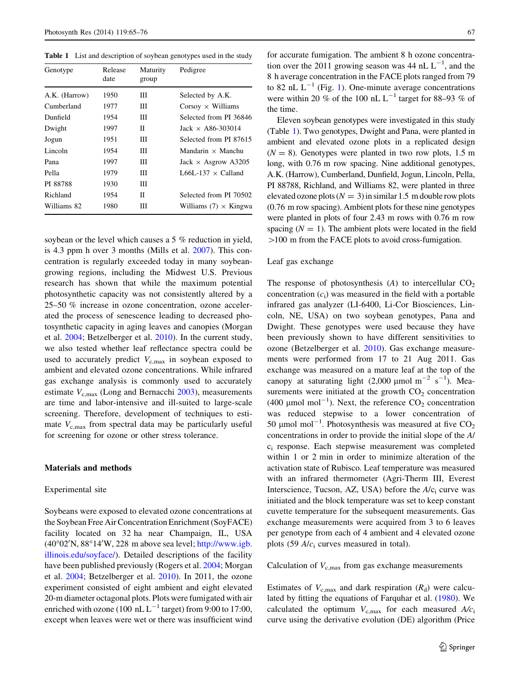<span id="page-2-0"></span>Table 1 List and description of soybean genotypes used in the study

| Genotype      | Release<br>date | Maturity<br>group | Pedigree                     |  |
|---------------|-----------------|-------------------|------------------------------|--|
| A.K. (Harrow) | 1950            | Ш                 | Selected by A.K.             |  |
| Cumberland    | 1977            | Ш                 | Corsoy $\times$ Williams     |  |
| Dunfield      | 1954            | Ш                 | Selected from PI 36846       |  |
| Dwight        | 1997            | Π                 | Jack $\times$ A86-303014     |  |
| Jogun         | 1951            | Ш                 | Selected from PI 87615       |  |
| Lincoln       | 1954            | Ш                 | Mandarin $\times$ Manchu     |  |
| Pana          | 1997            | Ш                 | Jack $\times$ Asgrow A3205   |  |
| Pella         | 1979            | Ш                 | L66L-137 $\times$ Calland    |  |
| PI 88788      | 1930            | Ш                 |                              |  |
| Richland      | 1954            | Π                 | Selected from PI 70502       |  |
| Williams 82   | 1980            | Ш                 | Williams $(7) \times$ Kingwa |  |

soybean or the level which causes a 5 % reduction in yield, is 4.3 ppm h over 3 months (Mills et al. [2007\)](#page-10-0). This con-

for accurate fumigation. The ambient 8 h ozone concentration over the 2011 growing season was 44 nL  $L^{-1}$ , and the 8 h average concentration in the FACE plots ranged from 79 to 82 nL  $L^{-1}$  $L^{-1}$  $L^{-1}$  (Fig. 1). One-minute average concentrations were within 20 % of the 100 nL  $L^{-1}$  target for 88–93 % of the time.

Eleven soybean genotypes were investigated in this study (Table 1). Two genotypes, Dwight and Pana, were planted in ambient and elevated ozone plots in a replicated design  $(N = 8)$ . Genotypes were planted in two row plots, 1.5 m long, with 0.76 m row spacing. Nine additional genotypes, A.K. (Harrow), Cumberland, Dunfield, Jogun, Lincoln, Pella, PI 88788, Richland, and Williams 82, were planted in three elevated ozone plots ( $N = 3$ ) in similar 1.5 m double row plots (0.76 m row spacing). Ambient plots for these nine genotypes were planted in plots of four 2.43 m rows with 0.76 m row spacing  $(N = 1)$ . The ambient plots were located in the field  $>100$  m from the FACE plots to avoid cross-fumigation.

## Leaf gas exchange

centration is regularly exceeded today in many soybeangrowing regions, including the Midwest U.S. Previous research has shown that while the maximum potential photosynthetic capacity was not consistently altered by a 25–50 % increase in ozone concentration, ozone accelerated the process of senescence leading to decreased photosynthetic capacity in aging leaves and canopies (Morgan et al. [2004](#page-10-0); Betzelberger et al. [2010\)](#page-9-0). In the current study, we also tested whether leaf reflectance spectra could be used to accurately predict  $V_{c,\text{max}}$  in soybean exposed to ambient and elevated ozone concentrations. While infrared gas exchange analysis is commonly used to accurately estimate  $V_{\rm c,max}$  (Long and Bernacchi [2003](#page-10-0)), measurements are time and labor-intensive and ill-suited to large-scale screening. Therefore, development of techniques to estimate  $V_{\rm c,max}$  from spectral data may be particularly useful for screening for ozone or other stress tolerance.

## Materials and methods

## Experimental site

Soybeans were exposed to elevated ozone concentrations at the Soybean Free Air Concentration Enrichment (SoyFACE) facility located on 32 ha near Champaign, IL, USA  $(40°02'N, 88°14'W, 228 m$  above sea level; [http://www.igb.](http://www.igb.illinois.edu/soyface/) [illinois.edu/soyface/](http://www.igb.illinois.edu/soyface/)). Detailed descriptions of the facility have been published previously (Rogers et al. [2004;](#page-10-0) Morgan et al. [2004](#page-10-0); Betzelberger et al. [2010](#page-9-0)). In 2011, the ozone experiment consisted of eight ambient and eight elevated 20-m diameter octagonal plots. Plots were fumigated with air enriched with ozone (100 nL  $L^{-1}$  target) from 9:00 to 17:00, except when leaves were wet or there was insufficient wind The response of photosynthesis  $(A)$  to intercellular  $CO<sub>2</sub>$ concentration  $(c_i)$  was measured in the field with a portable infrared gas analyzer (LI-6400, Li-Cor Biosciences, Lincoln, NE, USA) on two soybean genotypes, Pana and Dwight. These genotypes were used because they have been previously shown to have different sensitivities to ozone (Betzelberger et al. [2010\)](#page-9-0). Gas exchange measurements were performed from 17 to 21 Aug 2011. Gas exchange was measured on a mature leaf at the top of the canopy at saturating light  $(2,000 \text{ \mu mol m}^{-2} \text{ s}^{-1})$ . Measurements were initiated at the growth  $CO<sub>2</sub>$  concentration (400 µmol mol<sup>-1</sup>). Next, the reference  $CO_2$  concentration was reduced stepwise to a lower concentration of 50 µmol mol<sup>-1</sup>. Photosynthesis was measured at five  $CO<sub>2</sub>$ concentrations in order to provide the initial slope of the A/ ci response. Each stepwise measurement was completed within 1 or 2 min in order to minimize alteration of the activation state of Rubisco. Leaf temperature was measured with an infrared thermometer (Agri-Therm III, Everest Interscience, Tucson, AZ, USA) before the  $A/c<sub>i</sub>$  curve was initiated and the block temperature was set to keep constant cuvette temperature for the subsequent measurements. Gas exchange measurements were acquired from 3 to 6 leaves per genotype from each of 4 ambient and 4 elevated ozone plots (59  $A/c<sub>i</sub>$  curves measured in total).

# Calculation of  $V_{c,max}$  from gas exchange measurements

Estimates of  $V_{\text{c,max}}$  and dark respiration  $(R_d)$  were calculated by fitting the equations of Farquhar et al. ([1980\)](#page-9-0). We calculated the optimum  $V_{\text{c,max}}$  for each measured  $A/c_i$ curve using the derivative evolution (DE) algorithm (Price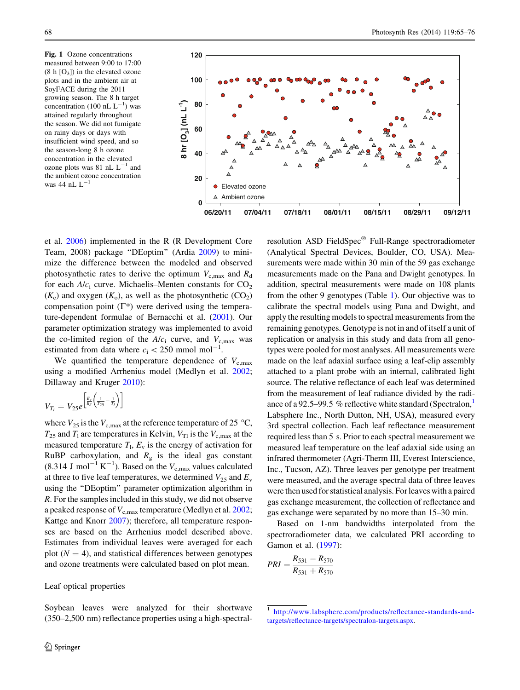<span id="page-3-0"></span>Fig. 1 Ozone concentrations measured between 9:00 to 17:00  $(8 h [O<sub>3</sub>])$  in the elevated ozone plots and in the ambient air at SoyFACE during the 2011 growing season. The 8 h target concentration (100 nL  $L^{-1}$ ) was attained regularly throughout the season. We did not fumigate on rainy days or days with insufficient wind speed, and so the season-long 8 h ozone concentration in the elevated ozone plots was 81 nL  $L^{-1}$  and the ambient ozone concentration was 44 nL  $L^{-1}$ 



et al. [2006\)](#page-10-0) implemented in the R (R Development Core Team, 2008) package ''DEoptim'' (Ardia [2009\)](#page-9-0) to minimize the difference between the modeled and observed photosynthetic rates to derive the optimum  $V_{c,\text{max}}$  and  $R_{d}$ for each  $A/c<sub>i</sub>$  curve. Michaelis–Menten constants for  $CO<sub>2</sub>$  $(K_c)$  and oxygen  $(K_o)$ , as well as the photosynthetic  $(CO_2)$ compensation point  $(\Gamma^*)$  were derived using the temperature-dependent formulae of Bernacchi et al. [\(2001](#page-9-0)). Our parameter optimization strategy was implemented to avoid the co-limited region of the  $A/c<sub>i</sub>$  curve, and  $V<sub>c,max</sub>$  was estimated from data where  $c_i \lt 250$  mmol mol<sup>-1</sup>.

We quantified the temperature dependence of  $V_{\rm c,max}$ using a modified Arrhenius model (Medlyn et al. [2002](#page-10-0); Dillaway and Kruger [2010](#page-9-0)):

$$
V_{T_l}=V_{25}e^{\left[\frac{E_\nu}{R_g}\left(\frac{1}{T_{25}}-\frac{1}{T_l}\right)\right]}
$$

where  $V_{25}$  is the  $V_{\text{c,max}}$  at the reference temperature of 25 °C,  $T_{25}$  and  $T_1$  are temperatures in Kelvin,  $V_{\text{TI}}$  is the  $V_{\text{c,max}}$  at the measured temperature  $T_1$ ,  $E_y$  is the energy of activation for RuBP carboxylation, and  $R<sub>g</sub>$  is the ideal gas constant  $(8.314 \text{ J mol}^{-1} \text{ K}^{-1})$ . Based on the  $V_{c,\text{max}}$  values calculated at three to five leaf temperatures, we determined  $V_{25}$  and  $E_{\rm v}$ using the ''DEoptim'' parameter optimization algorithm in R. For the samples included in this study, we did not observe a peaked response of  $V_{\rm c,max}$  temperature (Medlyn et al. [2002](#page-10-0); Kattge and Knorr [2007\)](#page-10-0); therefore, all temperature responses are based on the Arrhenius model described above. Estimates from individual leaves were averaged for each plot  $(N = 4)$ , and statistical differences between genotypes and ozone treatments were calculated based on plot mean.

Leaf optical properties

Soybean leaves were analyzed for their shortwave (350–2,500 nm) reflectance properties using a high-spectralresolution ASD FieldSpec<sup>®</sup> Full-Range spectroradiometer (Analytical Spectral Devices, Boulder, CO, USA). Measurements were made within 30 min of the 59 gas exchange measurements made on the Pana and Dwight genotypes. In addition, spectral measurements were made on 108 plants from the other 9 genotypes (Table [1\)](#page-2-0). Our objective was to calibrate the spectral models using Pana and Dwight, and apply the resulting models to spectral measurements from the remaining genotypes. Genotype is not in and of itself a unit of replication or analysis in this study and data from all genotypes were pooled for most analyses. All measurements were made on the leaf adaxial surface using a leaf-clip assembly attached to a plant probe with an internal, calibrated light source. The relative reflectance of each leaf was determined from the measurement of leaf radiance divided by the radiance of a 92.5–99.5 % reflective white standard (Spectralon, $\frac{1}{1}$ ) Labsphere Inc., North Dutton, NH, USA), measured every 3rd spectral collection. Each leaf reflectance measurement required less than 5 s. Prior to each spectral measurement we measured leaf temperature on the leaf adaxial side using an infrared thermometer (Agri-Therm III, Everest Interscience, Inc., Tucson, AZ). Three leaves per genotype per treatment were measured, and the average spectral data of three leaves were then used for statistical analysis. Forleaves with a paired gas exchange measurement, the collection of reflectance and gas exchange were separated by no more than 15–30 min.

Based on 1-nm bandwidths interpolated from the spectroradiometer data, we calculated PRI according to Gamon et al. ([1997\)](#page-9-0):

$$
PRI = \frac{R_{531} - R_{570}}{R_{531} + R_{570}}
$$

[http://www.labsphere.com/products/reflectance-standards-and](http://www.labsphere.com/products/reflectance-standards-and-targets/reflectance-targets/spectralon-targets.aspx)[targets/reflectance-targets/spectralon-targets.aspx](http://www.labsphere.com/products/reflectance-standards-and-targets/reflectance-targets/spectralon-targets.aspx).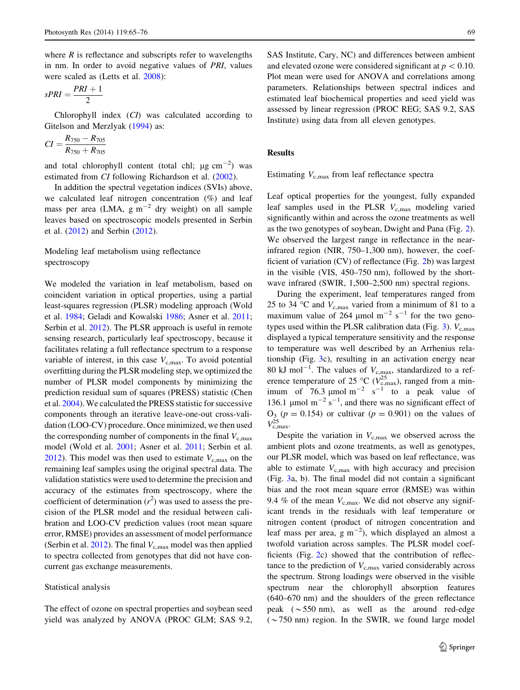where  $R$  is reflectance and subscripts refer to wavelengths in nm. In order to avoid negative values of PRI, values were scaled as (Letts et al. [2008](#page-10-0)):

$$
sPRI = \frac{PRI + 1}{2}
$$

Chlorophyll index (CI) was calculated according to Gitelson and Merzlyak [\(1994\)](#page-10-0) as:

$$
CI = \frac{R_{750} - R_{705}}{R_{750} + R_{705}}
$$

and total chlorophyll content (total chl;  $\mu$ g cm<sup>-2</sup>) was estimated from CI following Richardson et al. ([2002\)](#page-10-0).

In addition the spectral vegetation indices (SVIs) above, we calculated leaf nitrogen concentration (%) and leaf mass per area (LMA,  $g m^{-2}$  dry weight) on all sample leaves based on spectroscopic models presented in Serbin et al. [\(2012](#page-10-0)) and Serbin [\(2012](#page-10-0)).

# Modeling leaf metabolism using reflectance spectroscopy

We modeled the variation in leaf metabolism, based on coincident variation in optical properties, using a partial least-squares regression (PLSR) modeling approach (Wold et al. [1984;](#page-11-0) Geladi and Kowalski [1986;](#page-10-0) Asner et al. [2011](#page-9-0); Serbin et al. [2012](#page-10-0)). The PLSR approach is useful in remote sensing research, particularly leaf spectroscopy, because it facilitates relating a full reflectance spectrum to a response variable of interest, in this case  $V_{c,max}$ . To avoid potential overfitting during the PLSR modeling step, we optimized the number of PLSR model components by minimizing the prediction residual sum of squares (PRESS) statistic (Chen et al. [2004](#page-9-0)). We calculated the PRESS statistic for successive components through an iterative leave-one-out cross-validation (LOO-CV) procedure. Once minimized, we then used the corresponding number of components in the final  $V_{\rm c,max}$ model (Wold et al. [2001;](#page-11-0) Asner et al. [2011](#page-9-0); Serbin et al. [2012\)](#page-10-0). This model was then used to estimate  $V_{\text{c,max}}$  on the remaining leaf samples using the original spectral data. The validation statistics were used to determine the precision and accuracy of the estimates from spectroscopy, where the coefficient of determination  $(r^2)$  was used to assess the precision of the PLSR model and the residual between calibration and LOO-CV prediction values (root mean square error, RMSE) provides an assessment of model performance (Serbin et al.  $2012$ ). The final  $V_{c,max}$  model was then applied to spectra collected from genotypes that did not have concurrent gas exchange measurements.

## Statistical analysis

The effect of ozone on spectral properties and soybean seed yield was analyzed by ANOVA (PROC GLM; SAS 9.2,

SAS Institute, Cary, NC) and differences between ambient and elevated ozone were considered significant at  $p\leq0.10$ . Plot mean were used for ANOVA and correlations among parameters. Relationships between spectral indices and estimated leaf biochemical properties and seed yield was assessed by linear regression (PROC REG; SAS 9.2, SAS Institute) using data from all eleven genotypes.

## Results

Estimating  $V_{\text{c,max}}$  from leaf reflectance spectra

Leaf optical properties for the youngest, fully expanded leaf samples used in the PLSR  $V_{c,\text{max}}$  modeling varied significantly within and across the ozone treatments as well as the two genotypes of soybean, Dwight and Pana (Fig. [2](#page-5-0)). We observed the largest range in reflectance in the nearinfrared region (NIR, 750–1,300 nm), however, the coefficient of variation (CV) of reflectance (Fig. [2](#page-5-0)b) was largest in the visible (VIS, 450–750 nm), followed by the shortwave infrared (SWIR, 1,500–2,500 nm) spectral regions.

During the experiment, leaf temperatures ranged from 25 to 34 °C and  $V_{c,max}$  varied from a minimum of 81 to a maximum value of 264  $\mu$ mol m<sup>-2</sup> s<sup>-1</sup> for the two geno-types used within the PLSR calibration data (Fig. [3\)](#page-6-0).  $V_{c,max}$ displayed a typical temperature sensitivity and the response to temperature was well described by an Arrhenius relationship (Fig. [3](#page-6-0)c), resulting in an activation energy near 80 kJ mol<sup>-1</sup>. The values of  $V_{c,\text{max}}$ , standardized to a reference temperature of 25 °C ( $\dot{V}_{\text{c,max}}^{25}$ ), ranged from a minimum of  $76.3 \text{ }\mu\text{mol m}^{-2} \text{ s}^{-1}$  to a peak value of 136.1 µmol  $m^{-2} s^{-1}$ , and there was no significant effect of  $O_3$  ( $p = 0.154$ ) or cultivar ( $p = 0.901$ ) on the values of  $V_{\rm c,max}^{25}$ .

Despite the variation in  $V_{c,\text{max}}$  we observed across the ambient plots and ozone treatments, as well as genotypes, our PLSR model, which was based on leaf reflectance, was able to estimate  $V_{\rm c,max}$  with high accuracy and precision (Fig. [3a](#page-6-0), b). The final model did not contain a significant bias and the root mean square error (RMSE) was within 9.4 % of the mean  $V_{\rm c,max}$ . We did not observe any significant trends in the residuals with leaf temperature or nitrogen content (product of nitrogen concentration and leaf mass per area,  $g m^{-2}$ ), which displayed an almost a twofold variation across samples. The PLSR model coefficients (Fig. [2](#page-5-0)c) showed that the contribution of reflectance to the prediction of  $V_{\rm c,max}$  varied considerably across the spectrum. Strong loadings were observed in the visible spectrum near the chlorophyll absorption features (640–670 nm) and the shoulders of the green reflectance peak  $({\sim}550 \text{ nm})$ , as well as the around red-edge  $({\sim}750 \text{ nm})$  region. In the SWIR, we found large model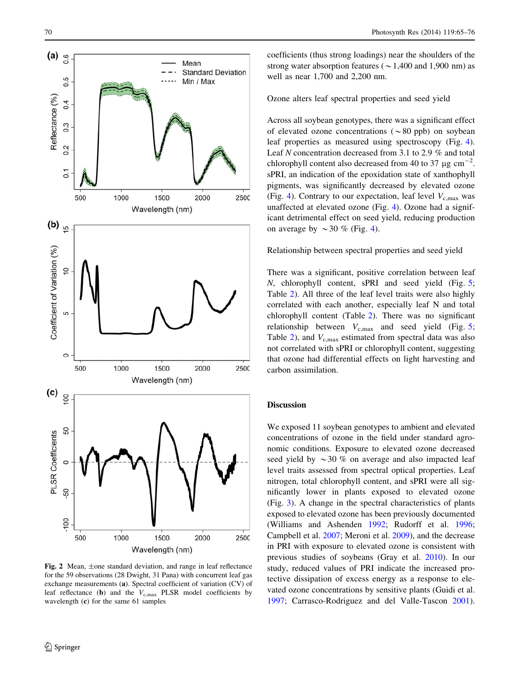<span id="page-5-0"></span>

Fig. 2 Mean, ±one standard deviation, and range in leaf reflectance for the 59 observations (28 Dwight, 31 Pana) with concurrent leaf gas exchange measurements (a). Spectral coefficient of variation (CV) of leaf reflectance (b) and the  $V_{\rm c,max}$  PLSR model coefficients by wavelength (c) for the same 61 samples

coefficients (thus strong loadings) near the shoulders of the strong water absorption features ( $\sim$  1,400 and 1,900 nm) as well as near 1,700 and 2,200 nm.

Ozone alters leaf spectral properties and seed yield

Across all soybean genotypes, there was a significant effect of elevated ozone concentrations ( $\sim 80$  ppb) on soybean leaf properties as measured using spectroscopy (Fig. [4](#page-7-0)). Leaf N concentration decreased from 3.1 to 2.9 % and total chlorophyll content also decreased from 40 to 37  $\mu$ g cm<sup>-2</sup>. sPRI, an indication of the epoxidation state of xanthophyll pigments, was significantly decreased by elevated ozone (Fig. [4\)](#page-7-0). Contrary to our expectation, leaf level  $V_{\rm c,max}$  was unaffected at elevated ozone (Fig. [4\)](#page-7-0). Ozone had a significant detrimental effect on seed yield, reducing production on average by  $\sim$  30 % (Fig. [4\)](#page-7-0).

### Relationship between spectral properties and seed yield

There was a significant, positive correlation between leaf N, chlorophyll content, sPRI and seed yield (Fig. [5](#page-8-0); Table [2](#page-7-0)). All three of the leaf level traits were also highly correlated with each another, especially leaf N and total chlorophyll content (Table [2\)](#page-7-0). There was no significant relationship between  $V_{\text{c,max}}$  and seed yield (Fig. [5](#page-8-0); Table [2](#page-7-0)), and  $V_{\text{c,max}}$  estimated from spectral data was also not correlated with sPRI or chlorophyll content, suggesting that ozone had differential effects on light harvesting and carbon assimilation.

## Discussion

We exposed 11 soybean genotypes to ambient and elevated concentrations of ozone in the field under standard agronomic conditions. Exposure to elevated ozone decreased seed yield by  $\sim$  30 % on average and also impacted leaf level traits assessed from spectral optical properties. Leaf nitrogen, total chlorophyll content, and sPRI were all significantly lower in plants exposed to elevated ozone (Fig. [3\)](#page-6-0). A change in the spectral characteristics of plants exposed to elevated ozone has been previously documented (Williams and Ashenden [1992;](#page-11-0) Rudorff et al. [1996](#page-10-0); Campbell et al. [2007;](#page-9-0) Meroni et al. [2009](#page-10-0)), and the decrease in PRI with exposure to elevated ozone is consistent with previous studies of soybeans (Gray et al. [2010](#page-10-0)). In our study, reduced values of PRI indicate the increased protective dissipation of excess energy as a response to elevated ozone concentrations by sensitive plants (Guidi et al. [1997](#page-10-0); Carrasco-Rodriguez and del Valle-Tascon [2001](#page-9-0)).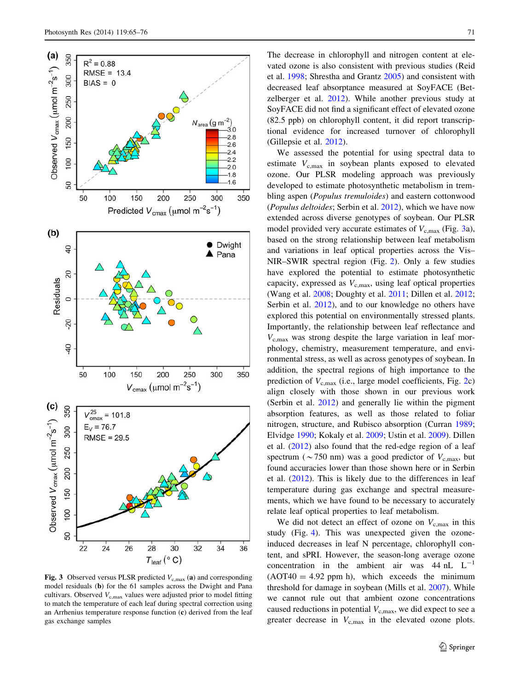<span id="page-6-0"></span>

Fig. 3 Observed versus PLSR predicted  $V_{\text{c,max}}$  (a) and corresponding model residuals (b) for the 61 samples across the Dwight and Pana cultivars. Observed  $V_{c,max}$  values were adjusted prior to model fitting to match the temperature of each leaf during spectral correction using an Arrhenius temperature response function (c) derived from the leaf gas exchange samples

The decrease in chlorophyll and nitrogen content at elevated ozone is also consistent with previous studies (Reid et al. [1998](#page-10-0); Shrestha and Grantz [2005\)](#page-10-0) and consistent with decreased leaf absorptance measured at SoyFACE (Betzelberger et al. [2012](#page-9-0)). While another previous study at SoyFACE did not find a significant effect of elevated ozone (82.5 ppb) on chlorophyll content, it did report transcriptional evidence for increased turnover of chlorophyll (Gillepsie et al. [2012\)](#page-10-0).

We assessed the potential for using spectral data to estimate  $V_{\rm c,max}$  in soybean plants exposed to elevated ozone. Our PLSR modeling approach was previously developed to estimate photosynthetic metabolism in trembling aspen (*Populus tremuloides*) and eastern cottonwood (Populus deltoides; Serbin et al. [2012](#page-10-0)), which we have now extended across diverse genotypes of soybean. Our PLSR model provided very accurate estimates of  $V_{c,max}$  (Fig. 3a), based on the strong relationship between leaf metabolism and variations in leaf optical properties across the Vis– NIR–SWIR spectral region (Fig. [2\)](#page-5-0). Only a few studies have explored the potential to estimate photosynthetic capacity, expressed as  $V_{c,max}$ , using leaf optical properties (Wang et al. [2008;](#page-11-0) Doughty et al. [2011](#page-9-0); Dillen et al. [2012](#page-9-0); Serbin et al. [2012](#page-10-0)), and to our knowledge no others have explored this potential on environmentally stressed plants. Importantly, the relationship between leaf reflectance and  $V_{\rm c,max}$  was strong despite the large variation in leaf morphology, chemistry, measurement temperature, and environmental stress, as well as across genotypes of soybean. In addition, the spectral regions of high importance to the prediction of  $V_{\rm c,max}$  (i.e., large model coefficients, Fig. [2](#page-5-0)c) align closely with those shown in our previous work (Serbin et al. [2012](#page-10-0)) and generally lie within the pigment absorption features, as well as those related to foliar nitrogen, structure, and Rubisco absorption (Curran [1989](#page-9-0); Elvidge [1990;](#page-9-0) Kokaly et al. [2009](#page-10-0); Ustin et al. [2009\)](#page-10-0). Dillen et al. ([2012\)](#page-9-0) also found that the red-edge region of a leaf spectrum ( $\sim$ 750 nm) was a good predictor of  $V_{\text{c,max}}$ , but found accuracies lower than those shown here or in Serbin et al. [\(2012](#page-10-0)). This is likely due to the differences in leaf temperature during gas exchange and spectral measurements, which we have found to be necessary to accurately relate leaf optical properties to leaf metabolism.

We did not detect an effect of ozone on  $V_{c,\text{max}}$  in this study (Fig. [4](#page-7-0)). This was unexpected given the ozoneinduced decreases in leaf N percentage, chlorophyll content, and sPRI. However, the season-long average ozone concentration in the ambient air was  $44 \text{ nL } L^{-1}$  $(AOT40 = 4.92$  ppm h), which exceeds the minimum threshold for damage in soybean (Mills et al. [2007](#page-10-0)). While we cannot rule out that ambient ozone concentrations caused reductions in potential  $V_{\text{c,max}}$ , we did expect to see a greater decrease in  $V_{c,\text{max}}$  in the elevated ozone plots.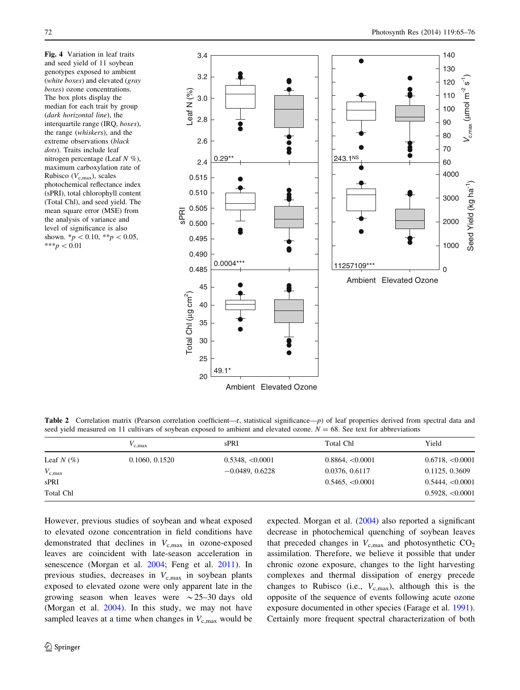<span id="page-7-0"></span>Fig. 4 Variation in leaf traits and seed yield of 11 soybean genotypes exposed to ambient (white boxes) and elevated (gray boxes) ozone concentrations. The box plots display the median for each trait by group (dark horizontal line), the interquartile range (IRQ, boxes), the range (whiskers), and the extreme observations (black dots). Traits include leaf nitrogen percentage (Leaf  $N \%$ ), maximum carboxylation rate of Rubisco ( $V_{c,\text{max}}$ ), scales photochemical reflectance index (sPRI), total chlorophyll content (Total Chl), and seed yield. The mean square error (MSE) from the analysis of variance and level of significance is also shown.  $* p < 0.10, **p < 0.05$ , \*\*\* $p < 0.01$ 



Table 2 Correlation matrix (Pearson correlation coefficient—r, statistical significance—p) of leaf properties derived from spectral data and seed yield measured on 11 cultivars of soybean exposed to ambient and elevated ozone.  $N = 68$ . See text for abbreviations

|                 | $V_{\rm c,max}$ | sPRI              | Total Chl             | Yield            |
|-----------------|-----------------|-------------------|-----------------------|------------------|
| Leaf $N(\%)$    | 0.1060, 0.1520  | 0.5348, <0.0001   | $0.8864, \leq 0.0001$ | 0.6718, < 0.0001 |
| $V_{\rm c,max}$ |                 | $-0.0489, 0.6228$ | 0.0376, 0.6117        | 0.1125, 0.3609   |
| sPRI            |                 |                   | 0.5465, <0.0001       | 0.5444, < 0.0001 |
| Total Chl       |                 |                   |                       | 0.5928, < 0.0001 |

However, previous studies of soybean and wheat exposed to elevated ozone concentration in field conditions have demonstrated that declines in  $V_{c,\text{max}}$  in ozone-exposed leaves are coincident with late-season acceleration in senescence (Morgan et al. [2004;](#page-10-0) Feng et al. [2011\)](#page-9-0). In previous studies, decreases in  $V_{c,max}$  in soybean plants exposed to elevated ozone were only apparent late in the growing season when leaves were  $\sim$  25–30 days old (Morgan et al. [2004\)](#page-10-0). In this study, we may not have sampled leaves at a time when changes in  $V_{c,\text{max}}$  would be expected. Morgan et al. ([2004\)](#page-10-0) also reported a significant decrease in photochemical quenching of soybean leaves that preceded changes in  $V_{c,max}$  and photosynthetic  $CO<sub>2</sub>$ assimilation. Therefore, we believe it possible that under chronic ozone exposure, changes to the light harvesting complexes and thermal dissipation of energy precede changes to Rubisco (i.e.,  $V_{c,\text{max}}$ ), although this is the opposite of the sequence of events following acute ozone exposure documented in other species (Farage et al. [1991](#page-9-0)). Certainly more frequent spectral characterization of both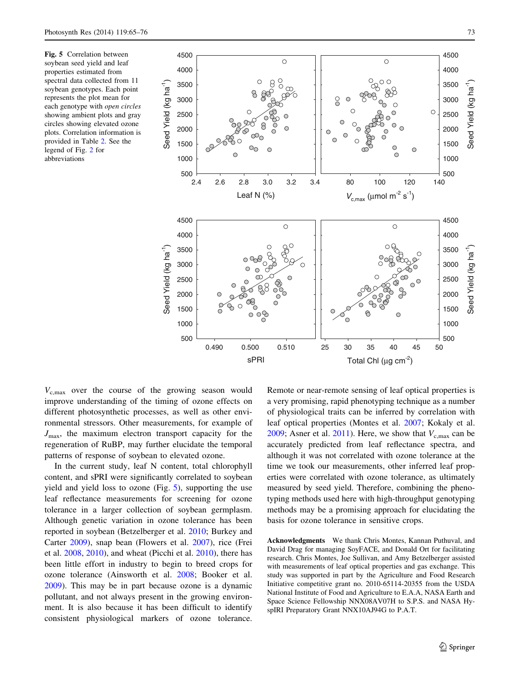<span id="page-8-0"></span>Fig. 5 Correlation between soybean seed yield and leaf properties estimated from spectral data collected from 11 soybean genotypes. Each point represents the plot mean for each genotype with open circles showing ambient plots and gray circles showing elevated ozone plots. Correlation information is provided in Table [2.](#page-7-0) See the legend of Fig. [2](#page-5-0) for abbreviations



 $V_{c,max}$  over the course of the growing season would improve understanding of the timing of ozone effects on different photosynthetic processes, as well as other environmental stressors. Other measurements, for example of  $J_{\text{max}}$ , the maximum electron transport capacity for the regeneration of RuBP, may further elucidate the temporal patterns of response of soybean to elevated ozone.

In the current study, leaf N content, total chlorophyll content, and sPRI were significantly correlated to soybean yield and yield loss to ozone (Fig. 5), supporting the use leaf reflectance measurements for screening for ozone tolerance in a larger collection of soybean germplasm. Although genetic variation in ozone tolerance has been reported in soybean (Betzelberger et al. [2010;](#page-9-0) Burkey and Carter [2009](#page-9-0)), snap bean (Flowers et al. [2007](#page-9-0)), rice (Frei et al. [2008](#page-9-0), [2010\)](#page-9-0), and wheat (Picchi et al. [2010\)](#page-10-0), there has been little effort in industry to begin to breed crops for ozone tolerance (Ainsworth et al. [2008;](#page-9-0) Booker et al. [2009\)](#page-9-0). This may be in part because ozone is a dynamic pollutant, and not always present in the growing environment. It is also because it has been difficult to identify consistent physiological markers of ozone tolerance.

Remote or near-remote sensing of leaf optical properties is a very promising, rapid phenotyping technique as a number of physiological traits can be inferred by correlation with leaf optical properties (Montes et al. [2007;](#page-10-0) Kokaly et al. [2009](#page-10-0); Asner et al. [2011](#page-9-0)). Here, we show that  $V_{c,max}$  can be accurately predicted from leaf reflectance spectra, and although it was not correlated with ozone tolerance at the time we took our measurements, other inferred leaf properties were correlated with ozone tolerance, as ultimately measured by seed yield. Therefore, combining the phenotyping methods used here with high-throughput genotyping methods may be a promising approach for elucidating the basis for ozone tolerance in sensitive crops.

Acknowledgments We thank Chris Montes, Kannan Puthuval, and David Drag for managing SoyFACE, and Donald Ort for facilitating research. Chris Montes, Joe Sullivan, and Amy Betzelberger assisted with measurements of leaf optical properties and gas exchange. This study was supported in part by the Agriculture and Food Research Initiative competitive grant no. 2010-65114-20355 from the USDA National Institute of Food and Agriculture to E.A.A, NASA Earth and Space Science Fellowship NNX08AV07H to S.P.S. and NASA HyspIRI Preparatory Grant NNX10AJ94G to P.A.T.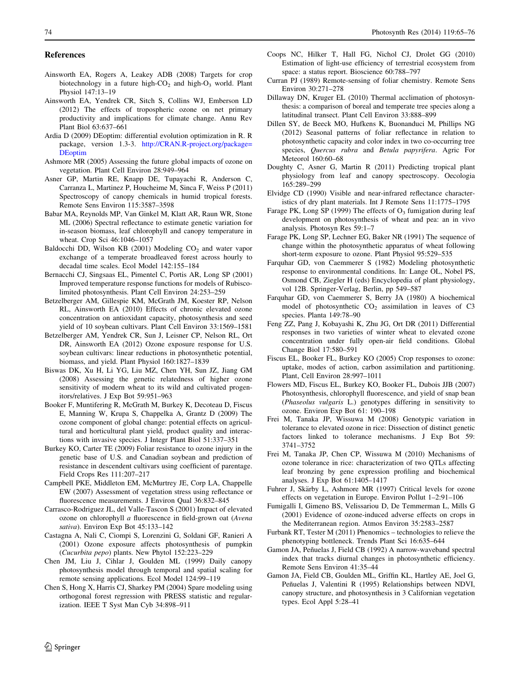#### <span id="page-9-0"></span>References

- Ainsworth EA, Rogers A, Leakey ADB (2008) Targets for crop biotechnology in a future high- $CO<sub>2</sub>$  and high- $O<sub>3</sub>$  world. Plant Physiol 147:13–19
- Ainsworth EA, Yendrek CR, Sitch S, Collins WJ, Emberson LD (2012) The effects of tropospheric ozone on net primary productivity and implications for climate change. Annu Rev Plant Biol 63:637–661
- Ardia D (2009) DEoptim: differential evolution optimization in R. R package, version 1.3-3. [http://CRAN.R-project.org/package=](http://CRAN.R-project.org/package=DEoptim) [DEoptim](http://CRAN.R-project.org/package=DEoptim)
- Ashmore MR (2005) Assessing the future global impacts of ozone on vegetation. Plant Cell Environ 28:949–964
- Asner GP, Martin RE, Knapp DE, Tupayachi R, Anderson C, Carranza L, Martinez P, Houcheime M, Sinca F, Weiss P (2011) Spectroscopy of canopy chemicals in humid tropical forests. Remote Sens Environ 115:3587–3598
- Babar MA, Reynolds MP, Van Ginkel M, Klatt AR, Raun WR, Stone ML (2006) Spectral reflectance to estimate genetic variation for in-season biomass, leaf chlorophyll and canopy temperature in wheat. Crop Sci 46:1046–1057
- Baldocchi DD, Wilson KB (2001) Modeling  $CO<sub>2</sub>$  and water vapor exchange of a temperate broadleaved forest across hourly to decadal time scales. Ecol Model 142:155–184
- Bernacchi CJ, Singsaas EL, Pimentel C, Portis AR, Long SP (2001) Improved temperature response functions for models of Rubiscolimited photosynthesis. Plant Cell Environ 24:253–259
- Betzelberger AM, Gillespie KM, McGrath JM, Koester RP, Nelson RL, Ainsworth EA (2010) Effects of chronic elevated ozone concentration on antioxidant capacity, photosynthesis and seed yield of 10 soybean cultivars. Plant Cell Environ 33:1569–1581
- Betzelberger AM, Yendrek CR, Sun J, Leisner CP, Nelson RL, Ort DR, Ainsworth EA (2012) Ozone exposure response for U.S. soybean cultivars: linear reductions in photosynthetic potential, biomass, and yield. Plant Physiol 160:1827–1839
- Biswas DK, Xu H, Li YG, Liu MZ, Chen YH, Sun JZ, Jiang GM (2008) Assessing the genetic relatedness of higher ozone sensitivity of modern wheat to its wild and cultivated progenitors/relatives. J Exp Bot 59:951–963
- Booker F, Muntifering R, McGrath M, Burkey K, Decoteau D, Fiscus E, Manning W, Krupa S, Chappelka A, Grantz D (2009) The ozone component of global change: potential effects on agricultural and horticultural plant yield, product quality and interactions with invasive species. J Integr Plant Biol 51:337–351
- Burkey KO, Carter TE (2009) Foliar resistance to ozone injury in the genetic base of U.S. and Canadian soybean and prediction of resistance in descendent cultivars using coefficient of parentage. Field Crops Res 111:207–217
- Campbell PKE, Middleton EM, McMurtrey JE, Corp LA, Chappelle EW (2007) Assessment of vegetation stress using reflectance or fluorescence measurements. J Environ Qual 36:832–845
- Carrasco-Rodriguez JL, del Valle-Tascon S (2001) Impact of elevated ozone on chlorophyll a fluorescence in field-grown oat (Avena sativa). Environ Exp Bot 45:133–142
- Castagna A, Nali C, Ciompi S, Lorenzini G, Soldani GF, Ranieri A (2001) Ozone exposure affects photosynthesis of pumpkin (Cucurbita pepo) plants. New Phytol 152:223–229
- Chen JM, Liu J, Cihlar J, Goulden ML (1999) Daily canopy photosynthesis model through temporal and spatial scaling for remote sensing applications. Ecol Model 124:99–119
- Chen S, Hong X, Harris CJ, Sharkey PM (2004) Spare modeling using orthogonal forest regression with PRESS statistic and regularization. IEEE T Syst Man Cyb 34:898–911
- Coops NC, Hilker T, Hall FG, Nichol CJ, Drolet GG (2010) Estimation of light-use efficiency of terrestrial ecosystem from space: a status report. Bioscience 60:788–797
- Curran PJ (1989) Remote-sensing of foliar chemistry. Remote Sens Environ 30:271–278
- Dillaway DN, Kruger EL (2010) Thermal acclimation of photosynthesis: a comparison of boreal and temperate tree species along a latitudinal transect. Plant Cell Environ 33:888–899
- Dillen SY, de Beeck MO, Hufkens K, Buonanduci M, Phillips NG (2012) Seasonal patterns of foliar reflectance in relation to photosynthetic capacity and color index in two co-occurring tree species, Quercus rubra and Betula papyrifera. Agric For Meteorol 160:60–68
- Doughty C, Asner G, Martin R (2011) Predicting tropical plant physiology from leaf and canopy spectroscopy. Oecologia 165:289–299
- Elvidge CD (1990) Visible and near-infrared reflectance characteristics of dry plant materials. Int J Remote Sens 11:1775–1795
- Farage PK, Long SP (1999) The effects of  $O_3$  fumigation during leaf development on photosynthesis of wheat and pea: an in vivo analysis. Photosyn Res 59:1–7
- Farage PK, Long SP, Lechner EG, Baker NR (1991) The sequence of change within the photosynthetic apparatus of wheat following short-term exposure to ozone. Plant Physiol 95:529–535
- Farquhar GD, von Caemmerer S (1982) Modeling photosynthetic response to environmental conditions. In: Lange OL, Nobel PS, Osmond CB, Ziegler H (eds) Encyclopedia of plant physiology, vol 12B. Springer-Verlag, Berlin, pp 549–587
- Farquhar GD, von Caemmerer S, Berry JA (1980) A biochemical model of photosynthetic  $CO<sub>2</sub>$  assimilation in leaves of  $C<sub>3</sub>$ species. Planta 149:78–90
- Feng ZZ, Pang J, Kobayashi K, Zhu JG, Ort DR (2011) Differential responses in two varieties of winter wheat to elevated ozone concentration under fully open-air field conditions. Global Change Biol 17:580–591
- Fiscus EL, Booker FL, Burkey KO (2005) Crop responses to ozone: uptake, modes of action, carbon assimilation and partitioning. Plant, Cell Environ 28:997–1011
- Flowers MD, Fiscus EL, Burkey KO, Booker FL, Dubois JJB (2007) Photosynthesis, chlorophyll fluorescence, and yield of snap bean (Phaseolus vulgaris L.) genotypes differing in sensitivity to ozone. Environ Exp Bot 61: 190–198
- Frei M, Tanaka JP, Wissuwa M (2008) Genotypic variation in tolerance to elevated ozone in rice: Dissection of distinct genetic factors linked to tolerance mechanisms. J Exp Bot 59: 3741–3752
- Frei M, Tanaka JP, Chen CP, Wissuwa M (2010) Mechanisms of ozone tolerance in rice: characterization of two QTLs affecting leaf bronzing by gene expression profiling and biochemical analyses. J Exp Bot 61:1405–1417
- Fuhrer J, Skärby L, Ashmore MR (1997) Critical levels for ozone effects on vegetation in Europe. Environ Pollut 1–2:91–106
- Fumigalli I, Gimeno BS, Velissariou D, De Temmerman L, Mills G (2001) Evidence of ozone-induced adverse effects on crops in the Mediterranean region. Atmos Environ 35:2583–2587
- Furbank RT, Tester M (2011) Phenomics technologies to relieve the phenotyping bottleneck. Trends Plant Sci 16:635–644
- Gamon JA, Peñuelas J, Field CB (1992) A narrow-waveband spectral index that tracks diurnal changes in photosynthetic efficiency. Remote Sens Environ 41:35–44
- Gamon JA, Field CB, Goulden ML, Griffin KL, Hartley AE, Joel G, Peñuelas J, Valentini R (1995) Relationships between NDVI, canopy structure, and photosynthesis in 3 Californian vegetation types. Ecol Appl 5:28–41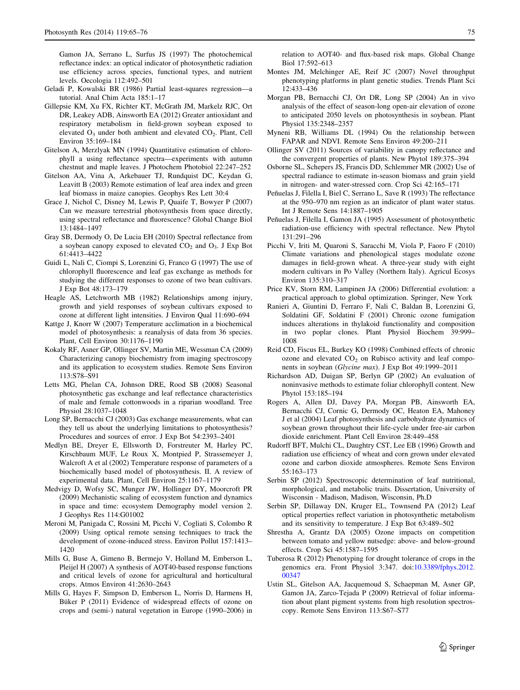<span id="page-10-0"></span>Gamon JA, Serrano L, Surfus JS (1997) The photochemical reflectance index: an optical indicator of photosynthetic radiation use efficiency across species, functional types, and nutrient levels. Oecologia 112:492–501

- Geladi P, Kowalski BR (1986) Partial least-squares regression—a tutorial. Anal Chim Acta 185:1–17
- Gillepsie KM, Xu FX, Richter KT, McGrath JM, Markelz RJC, Ort DR, Leakey ADB, Ainsworth EA (2012) Greater antioxidant and respiratory metabolism in field-grown soybean exposed to elevated  $O_3$  under both ambient and elevated  $CO_2$ . Plant, Cell Environ 35:169–184
- Gitelson A, Merzlyak MN (1994) Quantitative estimation of chlorophyll a using reflectance spectra—experiments with autumn chestnut and maple leaves. J Photochem Photobiol 22:247–252
- Gitelson AA, Vina A, Arkebauer TJ, Rundquist DC, Keydan G, Leavitt B (2003) Remote estimation of leaf area index and green leaf biomass in maize canopies. Geophys Res Lett 30:4
- Grace J, Nichol C, Disney M, Lewis P, Quaife T, Bowyer P (2007) Can we measure terrestrial photosynthesis from space directly, using spectral reflectance and fluorescence? Global Change Biol 13:1484–1497
- Gray SB, Dermody O, De Lucia EH (2010) Spectral reflectance from a soybean canopy exposed to elevated  $CO<sub>2</sub>$  and  $O<sub>3</sub>$ . J Exp Bot 61:4413–4422
- Guidi L, Nali C, Ciompi S, Lorenzini G, Franco G (1997) The use of chlorophyll fluorescence and leaf gas exchange as methods for studying the different responses to ozone of two bean cultivars. J Exp Bot 48:173–179
- Heagle AS, Letchworth MB (1982) Relationships among injury, growth and yield responses of soybean cultivars exposed to ozone at different light intensities. J Environ Qual 11:690–694
- Kattge J, Knorr W (2007) Temperature acclimation in a biochemical model of photosynthesis: a reanalysis of data from 36 species. Plant, Cell Environ 30:1176–1190
- Kokaly RF, Asner GP, Ollinger SV, Martin ME, Wessman CA (2009) Characterizing canopy biochemistry from imaging spectroscopy and its application to ecosystem studies. Remote Sens Environ 113:S78–S91
- Letts MG, Phelan CA, Johnson DRE, Rood SB (2008) Seasonal photosynthetic gas exchange and leaf reflectance characteristics of male and female cottonwoods in a riparian woodland. Tree Physiol 28:1037–1048
- Long SP, Bernacchi CJ (2003) Gas exchange measurements, what can they tell us about the underlying limitations to photosynthesis? Procedures and sources of error. J Exp Bot 54:2393–2401
- Medlyn BE, Dreyer E, Ellsworth D, Forstreuter M, Harley PC, Kirschbaum MUF, Le Roux X, Montpied P, Strassemeyer J, Walcroft A et al (2002) Temperature response of parameters of a biochemically based model of photosynthesis. II. A review of experimental data. Plant, Cell Environ 25:1167–1179
- Medvigy D, Wofsy SC, Munger JW, Hollinger DY, Moorcroft PR (2009) Mechanistic scaling of ecosystem function and dynamics in space and time: ecosystem Demography model version 2. J Geophys Res 114:G01002
- Meroni M, Panigada C, Rossini M, Picchi V, Cogliati S, Colombo R (2009) Using optical remote sensing techniques to track the development of ozone-induced stress. Environ Pollut 157:1413– 1420
- Mills G, Buse A, Gimeno B, Bermejo V, Holland M, Emberson L, Pleijel H (2007) A synthesis of AOT40-based response functions and critical levels of ozone for agricultural and horticultural crops. Atmos Environ 41:2630–2643
- Mills G, Hayes F, Simpson D, Emberson L, Norris D, Harmens H, Büker P (2011) Evidence of widespread effects of ozone on crops and (semi-) natural vegetation in Europe (1990–2006) in

relation to AOT40- and flux-based risk maps. Global Change Biol 17:592–613

- Montes JM, Melchinger AE, Reif JC (2007) Novel throughput phenotyping platforms in plant genetic studies. Trends Plant Sci 12:433–436
- Morgan PB, Bernacchi CJ, Ort DR, Long SP (2004) An in vivo analysis of the effect of season-long open-air elevation of ozone to anticipated 2050 levels on photosynthesis in soybean. Plant Physiol 135:2348–2357
- Myneni RB, Williams DL (1994) On the relationship between FAPAR and NDVI. Remote Sens Environ 49:200–211
- Ollinger SV (2011) Sources of variability in canopy reflectance and the convergent properties of plants. New Phytol 189:375–394
- Osborne SL, Schepers JS, Francis DD, Schlemmer MR (2002) Use of spectral radiance to estimate in-season biomass and grain yield in nitrogen- and water-stressed corn. Crop Sci 42:165–171
- Peñuelas J, Filella I, Biel C, Serrano L, Save R (1993) The reflectance at the 950–970 nm region as an indicator of plant water status. Int J Remote Sens 14:1887–1905
- Peñuelas J, Filella I, Gamon JA (1995) Assessment of photosynthetic radiation-use efficiency with spectral reflectance. New Phytol 131:291–296
- Picchi V, Iriti M, Quaroni S, Saracchi M, Viola P, Faoro F (2010) Climate variations and phenological stages modulate ozone damages in field-grown wheat. A three-year study with eight modern cultivars in Po Valley (Northern Italy). Agricul Ecosys Environ 135:310–317
- Price KV, Storn RM, Lampinen JA (2006) Differential evolution: a practical approach to global optimization. Springer, New York
- Ranieri A, Giuntini D, Ferraro F, Nali C, Baldan B, Lorenzini G, Soldatini GF, Soldatini F (2001) Chronic ozone fumigation induces alterations in thylakoid functionality and composition in two poplar clones. Plant Physiol Biochem 39:999– 1008
- Reid CD, Fiscus EL, Burkey KO (1998) Combined effects of chronic ozone and elevated  $CO<sub>2</sub>$  on Rubisco activity and leaf components in soybean (Glycine max). J Exp Bot 49:1999–2011
- Richardson AD, Duigan SP, Berlyn GP (2002) An evaluation of noninvasive methods to estimate foliar chlorophyll content. New Phytol 153:185–194
- Rogers A, Allen DJ, Davey PA, Morgan PB, Ainsworth EA, Bernacchi CJ, Cornic G, Dermody OC, Heaton EA, Mahoney J et al (2004) Leaf photosynthesis and carbohydrate dynamics of soybean grown throughout their life-cycle under free-air carbon dioxide enrichment. Plant Cell Environ 28:449–458
- Rudorff BFT, Mulchi CL, Daughtry CST, Lee EB (1996) Growth and radiation use efficiency of wheat and corn grown under elevated ozone and carbon dioxide atmospheres. Remote Sens Environ 55:163–173
- Serbin SP (2012) Spectroscopic determination of leaf nutritional, morphological, and metabolic traits. Dissertation, University of Wisconsin - Madison, Madison, Wisconsin, Ph.D
- Serbin SP, Dillaway DN, Kruger EL, Townsend PA (2012) Leaf optical properties reflect variation in photosynthetic metabolism and its sensitivity to temperature. J Exp Bot 63:489–502
- Shrestha A, Grantz DA (2005) Ozone impacts on competition between tomato and yellow nutsedge: above- and below-ground effects. Crop Sci 45:1587–1595
- Tuberosa R (2012) Phenotyping for drought tolerance of crops in the genomics era. Front Physiol 3:347. doi[:10.3389/fphys.2012.](http://dx.doi.org/10.3389/fphys.2012.00347) [00347](http://dx.doi.org/10.3389/fphys.2012.00347)
- Ustin SL, Gitelson AA, Jacquemoud S, Schaepman M, Asner GP, Gamon JA, Zarco-Tejada P (2009) Retrieval of foliar information about plant pigment systems from high resolution spectroscopy. Remote Sens Environ 113:S67–S77